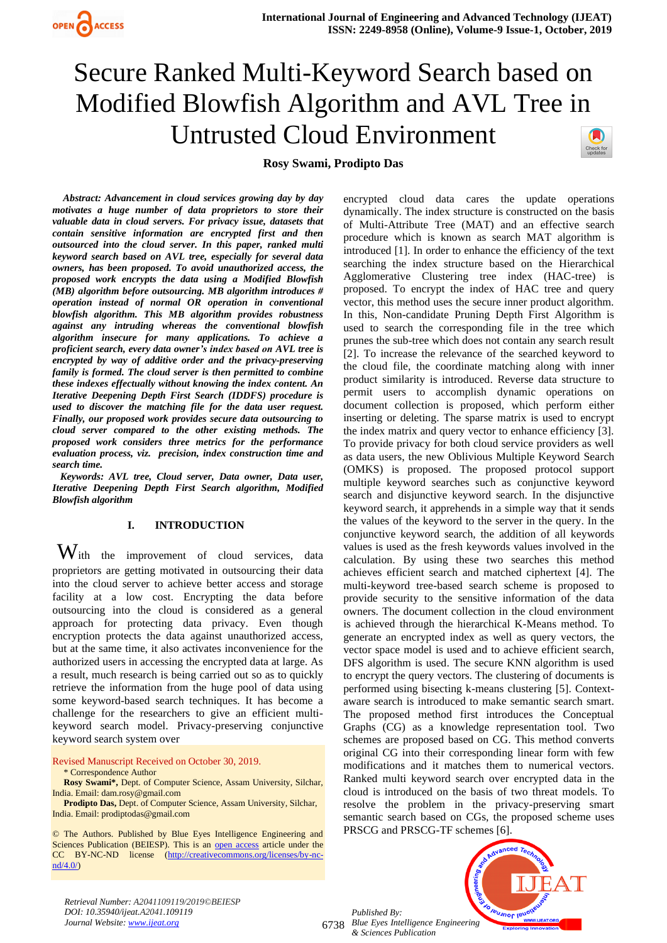



**Rosy Swami, Prodipto Das**

*Abstract: Advancement in cloud services growing day by day motivates a huge number of data proprietors to store their valuable data in cloud servers. For privacy issue, datasets that contain sensitive information are encrypted first and then outsourced into the cloud server. In this paper, ranked multi keyword search based on AVL tree, especially for several data owners, has been proposed. To avoid unauthorized access, the proposed work encrypts the data using a Modified Blowfish (MB) algorithm before outsourcing. MB algorithm introduces # operation instead of normal OR operation in conventional blowfish algorithm. This MB algorithm provides robustness against any intruding whereas the conventional blowfish algorithm insecure for many applications. To achieve a proficient search, every data owner's index based on AVL tree is encrypted by way of additive order and the privacy-preserving family is formed. The cloud server is then permitted to combine these indexes effectually without knowing the index content. An Iterative Deepening Depth First Search (IDDFS) procedure is used to discover the matching file for the data user request. Finally, our proposed work provides secure data outsourcing to cloud server compared to the other existing methods. The proposed work considers three metrics for the performance evaluation process, viz. precision, index construction time and search time.*

*Keywords: AVL tree, Cloud server, Data owner, Data user, Iterative Deepening Depth First Search algorithm, Modified Blowfish algorithm* 

# **I. INTRODUCTION**

With the improvement of cloud services, data proprietors are getting motivated in outsourcing their data into the cloud server to achieve better access and storage facility at a low cost. Encrypting the data before outsourcing into the cloud is considered as a general approach for protecting data privacy. Even though encryption protects the data against unauthorized access, but at the same time, it also activates inconvenience for the authorized users in accessing the encrypted data at large. As a result, much research is being carried out so as to quickly retrieve the information from the huge pool of data using some keyword-based search techniques. It has become a challenge for the researchers to give an efficient multikeyword search model. Privacy-preserving conjunctive keyword search system over

Revised Manuscript Received on October 30, 2019.

\* Correspondence Author

**Rosy Swami\*,** Dept. of Computer Science, Assam University, Silchar, India. Email: dam.rosy@gmail.com

**Prodipto Das,** Dept. of Computer Science, Assam University, Silchar, India. Email: prodiptodas@gmail.com

© The Authors. Published by Blue Eyes Intelligence Engineering and Sciences Publication (BEIESP). This is an [open access](https://www.openaccess.nl/en/open-publications) article under the CC BY-NC-ND license [\(http://creativecommons.org/licenses/by-nc](http://creativecommons.org/licenses/by-nc-nd/4.0/)[nd/4.0/\)](http://creativecommons.org/licenses/by-nc-nd/4.0/)

encrypted cloud data cares the update operations dynamically. The index structure is constructed on the basis of Multi-Attribute Tree (MAT) and an effective search procedure which is known as search MAT algorithm is introduced [1]. In order to enhance the efficiency of the text searching the index structure based on the Hierarchical Agglomerative Clustering tree index (HAC-tree) is proposed. To encrypt the index of HAC tree and query vector, this method uses the secure inner product algorithm. In this, Non-candidate Pruning Depth First Algorithm is used to search the corresponding file in the tree which prunes the sub-tree which does not contain any search result [2]. To increase the relevance of the searched keyword to the cloud file, the coordinate matching along with inner product similarity is introduced. Reverse data structure to permit users to accomplish dynamic operations on document collection is proposed, which perform either inserting or deleting. The sparse matrix is used to encrypt the index matrix and query vector to enhance efficiency [3]. To provide privacy for both cloud service providers as well as data users, the new Oblivious Multiple Keyword Search (OMKS) is proposed. The proposed protocol support multiple keyword searches such as conjunctive keyword search and disjunctive keyword search. In the disjunctive keyword search, it apprehends in a simple way that it sends the values of the keyword to the server in the query. In the conjunctive keyword search, the addition of all keywords values is used as the fresh keywords values involved in the calculation. By using these two searches this method achieves efficient search and matched ciphertext [4]. The multi-keyword tree-based search scheme is proposed to provide security to the sensitive information of the data owners. The document collection in the cloud environment is achieved through the hierarchical K-Means method. To generate an encrypted index as well as query vectors, the vector space model is used and to achieve efficient search, DFS algorithm is used. The secure KNN algorithm is used to encrypt the query vectors. The clustering of documents is performed using bisecting k-means clustering [5]. Contextaware search is introduced to make semantic search smart. The proposed method first introduces the Conceptual Graphs (CG) as a knowledge representation tool. Two schemes are proposed based on CG. This method converts original CG into their corresponding linear form with few modifications and it matches them to numerical vectors. Ranked multi keyword search over encrypted data in the cloud is introduced on the basis of two threat models. To resolve the problem in the privacy-preserving smart semantic search based on CGs, the proposed scheme uses PRSCG and PRSCG-TF schemes [6].

eusnor leu

6738 *Blue Eyes Intelligence Engineering Published By: & Sciences Publication* 

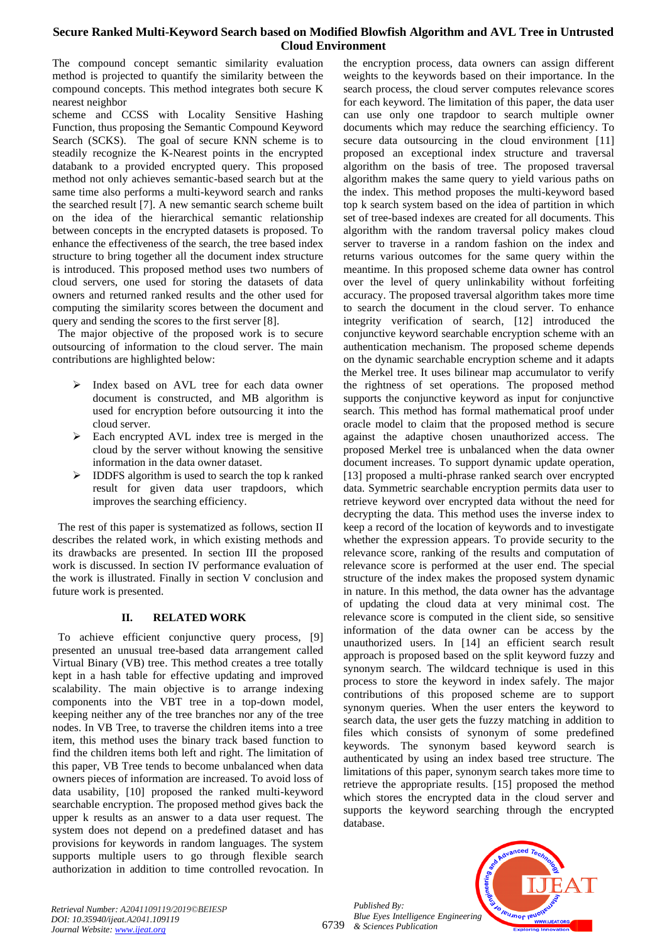The compound concept semantic similarity evaluation method is projected to quantify the similarity between the compound concepts. This method integrates both secure K nearest neighbor

scheme and CCSS with Locality Sensitive Hashing Function, thus proposing the Semantic Compound Keyword Search (SCKS). The goal of secure KNN scheme is to steadily recognize the K-Nearest points in the encrypted databank to a provided encrypted query. This proposed method not only achieves semantic-based search but at the same time also performs a multi-keyword search and ranks the searched result [7]. A new semantic search scheme built on the idea of the hierarchical semantic relationship between concepts in the encrypted datasets is proposed. To enhance the effectiveness of the search, the tree based index structure to bring together all the document index structure is introduced. This proposed method uses two numbers of cloud servers, one used for storing the datasets of data owners and returned ranked results and the other used for computing the similarity scores between the document and query and sending the scores to the first server [8].

 The major objective of the proposed work is to secure outsourcing of information to the cloud server. The main contributions are highlighted below:

- ➢ Index based on AVL tree for each data owner document is constructed, and MB algorithm is used for encryption before outsourcing it into the cloud server.
- ➢ Each encrypted AVL index tree is merged in the cloud by the server without knowing the sensitive information in the data owner dataset.
- ➢ IDDFS algorithm is used to search the top k ranked result for given data user trapdoors, which improves the searching efficiency.

 The rest of this paper is systematized as follows, section II describes the related work, in which existing methods and its drawbacks are presented. In section III the proposed work is discussed. In section IV performance evaluation of the work is illustrated. Finally in section V conclusion and future work is presented.

# **II. RELATED WORK**

To achieve efficient conjunctive query process, [9] presented an unusual tree-based data arrangement called Virtual Binary (VB) tree. This method creates a tree totally kept in a hash table for effective updating and improved scalability. The main objective is to arrange indexing components into the VBT tree in a top-down model, keeping neither any of the tree branches nor any of the tree nodes. In VB Tree, to traverse the children items into a tree item, this method uses the binary track based function to find the children items both left and right. The limitation of this paper, VB Tree tends to become unbalanced when data owners pieces of information are increased. To avoid loss of data usability, [10] proposed the ranked multi-keyword searchable encryption. The proposed method gives back the upper k results as an answer to a data user request. The system does not depend on a predefined dataset and has provisions for keywords in random languages. The system supports multiple users to go through flexible search authorization in addition to time controlled revocation. In

the encryption process, data owners can assign different weights to the keywords based on their importance. In the search process, the cloud server computes relevance scores for each keyword. The limitation of this paper, the data user can use only one trapdoor to search multiple owner documents which may reduce the searching efficiency. To secure data outsourcing in the cloud environment [11] proposed an exceptional index structure and traversal algorithm on the basis of tree. The proposed traversal algorithm makes the same query to yield various paths on the index. This method proposes the multi-keyword based top k search system based on the idea of partition in which set of tree-based indexes are created for all documents. This algorithm with the random traversal policy makes cloud server to traverse in a random fashion on the index and returns various outcomes for the same query within the meantime. In this proposed scheme data owner has control over the level of query unlinkability without forfeiting accuracy. The proposed traversal algorithm takes more time to search the document in the cloud server. To enhance integrity verification of search, [12] introduced the conjunctive keyword searchable encryption scheme with an authentication mechanism. The proposed scheme depends on the dynamic searchable encryption scheme and it adapts the Merkel tree. It uses bilinear map accumulator to verify the rightness of set operations. The proposed method supports the conjunctive keyword as input for conjunctive search. This method has formal mathematical proof under oracle model to claim that the proposed method is secure against the adaptive chosen unauthorized access. The proposed Merkel tree is unbalanced when the data owner document increases. To support dynamic update operation, [13] proposed a multi-phrase ranked search over encrypted data. Symmetric searchable encryption permits data user to retrieve keyword over encrypted data without the need for decrypting the data. This method uses the inverse index to keep a record of the location of keywords and to investigate whether the expression appears. To provide security to the relevance score, ranking of the results and computation of relevance score is performed at the user end. The special structure of the index makes the proposed system dynamic in nature. In this method, the data owner has the advantage of updating the cloud data at very minimal cost. The relevance score is computed in the client side, so sensitive information of the data owner can be access by the unauthorized users. In [14] an efficient search result approach is proposed based on the split keyword fuzzy and synonym search. The wildcard technique is used in this process to store the keyword in index safely. The major contributions of this proposed scheme are to support synonym queries. When the user enters the keyword to search data, the user gets the fuzzy matching in addition to files which consists of synonym of some predefined keywords. The synonym based keyword search is authenticated by using an index based tree structure. The limitations of this paper, synonym search takes more time to retrieve the appropriate results. [15] proposed the method which stores the encrypted data in the cloud server and supports the keyword searching through the encrypted database.



*Retrieval Number: A2041109119/2019©BEIESP DOI: 10.35940/ijeat.A2041.109119 Journal Website[: www.ijeat.org](http://www.ijeat.org/)*

6739 *& Sciences Publication*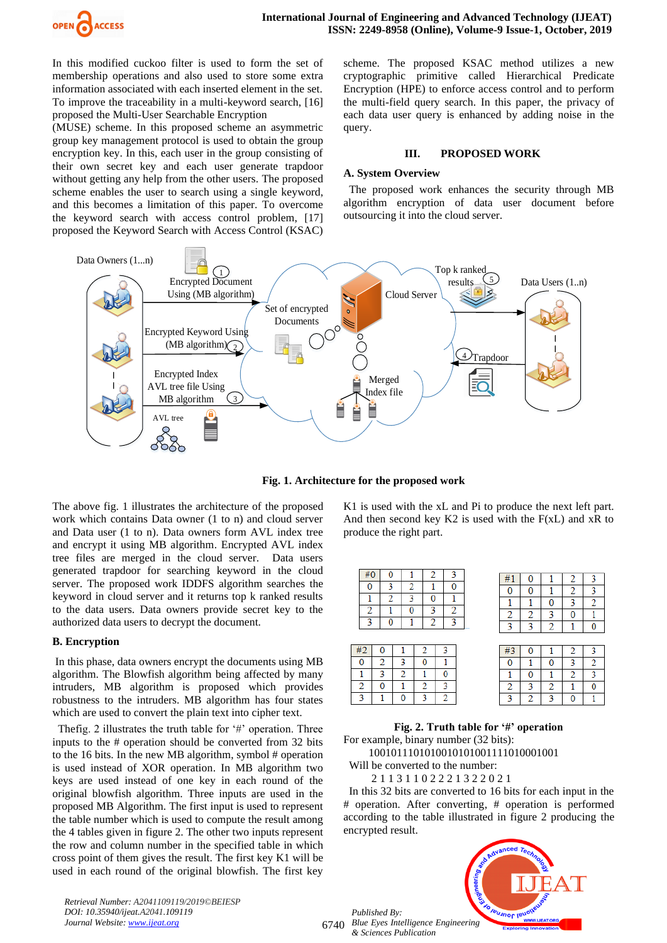

In this modified cuckoo filter is used to form the set of membership operations and also used to store some extra information associated with each inserted element in the set. To improve the traceability in a multi-keyword search, [16] proposed the Multi-User Searchable Encryption

(MUSE) scheme. In this proposed scheme an asymmetric group key management protocol is used to obtain the group encryption key. In this, each user in the group consisting of their own secret key and each user generate trapdoor without getting any help from the other users. The proposed scheme enables the user to search using a single keyword, and this becomes a limitation of this paper. To overcome the keyword search with access control problem, [17] proposed the Keyword Search with Access Control (KSAC)

scheme. The proposed KSAC method utilizes a new cryptographic primitive called Hierarchical Predicate Encryption (HPE) to enforce access control and to perform the multi-field query search. In this paper, the privacy of each data user query is enhanced by adding noise in the query.

#### **III. PROPOSED WORK**

#### **A. System Overview**

 The proposed work enhances the security through MB algorithm encryption of data user document before outsourcing it into the cloud server.



**Fig. 1. Architecture for the proposed work**

The above fig. 1 illustrates the architecture of the proposed work which contains Data owner (1 to n) and cloud server and Data user (1 to n). Data owners form AVL index tree and encrypt it using MB algorithm. Encrypted AVL index tree files are merged in the cloud server. Data users generated trapdoor for searching keyword in the cloud server. The proposed work IDDFS algorithm searches the keyword in cloud server and it returns top k ranked results to the data users. Data owners provide secret key to the authorized data users to decrypt the document.

#### **B. Encryption**

In this phase, data owners encrypt the documents using MB algorithm. The Blowfish algorithm being affected by many intruders, MB algorithm is proposed which provides robustness to the intruders. MB algorithm has four states which are used to convert the plain text into cipher text.

 Thefig. 2 illustrates the truth table for '#' operation. Three inputs to the # operation should be converted from 32 bits to the 16 bits. In the new MB algorithm, symbol # operation is used instead of XOR operation. In MB algorithm two keys are used instead of one key in each round of the original blowfish algorithm. Three inputs are used in the proposed MB Algorithm. The first input is used to represent the table number which is used to compute the result among the 4 tables given in figure 2. The other two inputs represent the row and column number in the specified table in which cross point of them gives the result. The first key K1 will be used in each round of the original blowfish. The first key

*Retrieval Number: A2041109119/2019©BEIESP DOI: 10.35940/ijeat.A2041.109119 Journal Website[: www.ijeat.org](http://www.ijeat.org/)*

K1 is used with the xL and Pi to produce the next left part. And then second key  $K2$  is used with the  $F(xL)$  and  $xR$  to produce the right part.

|   | #0 | 0 |   | 2 | 3 | #  | o |   | 2 |  |
|---|----|---|---|---|---|----|---|---|---|--|
|   | 0  | 3 | 2 |   | 0 | O  | 0 |   | 2 |  |
|   |    | റ | ٩ | 0 |   |    |   | 0 | 3 |  |
|   | 2  | 1 | 0 | 3 | 2 | 2  | 2 | 3 | 0 |  |
|   | ٩  | O |   | 2 | ٩ | 3  | 3 | 2 | 1 |  |
|   |    |   |   |   |   |    |   |   |   |  |
| L | #2 | O |   | າ | 3 | #3 |   |   | 2 |  |
|   |    | າ | 2 | n |   | 0  | 1 | 0 | 3 |  |
|   |    | 3 | 2 |   | 0 |    | 0 |   | 2 |  |
|   | 2  | 0 |   | 2 | 3 | 2  | 3 | 2 | 1 |  |
|   | 3  |   | 0 | 3 | 2 | 3  | റ | ٩ | O |  |

**Fig. 2. Truth table for '#' operation** For example, binary number (32 bits):

1001011101010010101001111010001001

Will be converted to the number:

2 1 1 3 1 1 0 2 2 2 1 3 2 2 0 2 1

 In this 32 bits are converted to 16 bits for each input in the # operation. After converting, # operation is performed according to the table illustrated in figure 2 producing the encrypted result.



6740 *Blue Eyes Intelligence Engineering & Sciences Publication*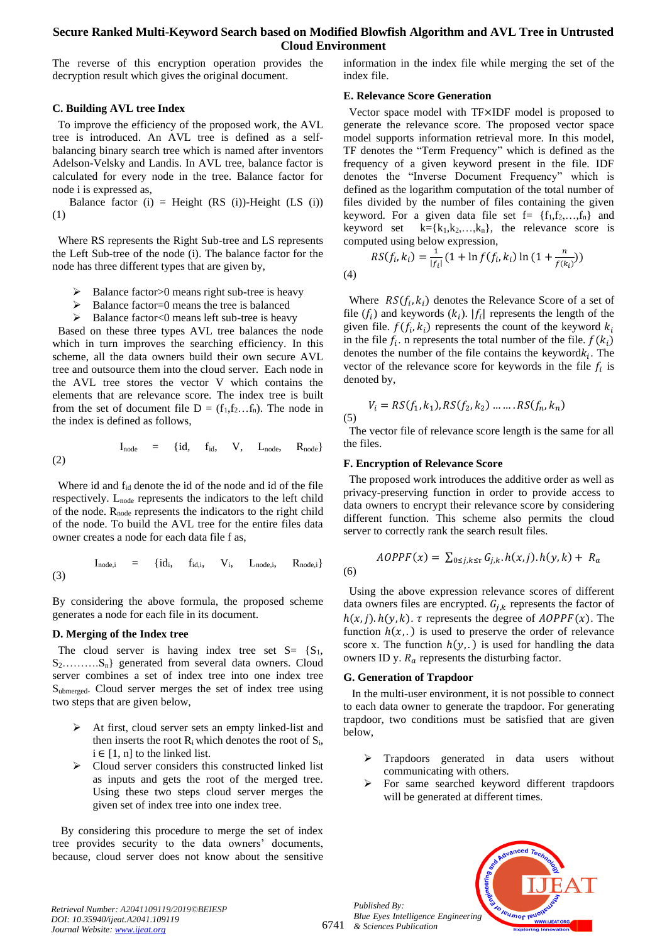The reverse of this encryption operation provides the decryption result which gives the original document.

## **C. Building AVL tree Index**

To improve the efficiency of the proposed work, the AVL tree is introduced. An AVL tree is defined as a selfbalancing binary search tree which is named after inventors Adelson-Velsky and Landis. In AVL tree, balance factor is calculated for every node in the tree. Balance factor for node i is expressed as,

Balance factor (i) = Height (RS (i))-Height (LS (i)) (1)

 Where RS represents the Right Sub-tree and LS represents the Left Sub-tree of the node (i). The balance factor for the node has three different types that are given by,

- Balance factor>0 means right sub-tree is heavy
- ➢ Balance factor=0 means the tree is balanced
- $\triangleright$  Balance factor<0 means left sub-tree is heavy

 Based on these three types AVL tree balances the node which in turn improves the searching efficiency. In this scheme, all the data owners build their own secure AVL tree and outsource them into the cloud server. Each node in the AVL tree stores the vector V which contains the elements that are relevance score. The index tree is built from the set of document file  $D = (f_1, f_2, \dots, f_n)$ . The node in the index is defined as follows,

$$
I_{node} = \{id, f_{id}, V, L_{node}, R_{node}\}
$$
 (2)

Where id and f<sub>id</sub> denote the id of the node and id of the file respectively. Lnode represents the indicators to the left child of the node.  $R_{node}$  represents the indicators to the right child of the node. To build the AVL tree for the entire files data owner creates a node for each data file f as,

$$
I_{node,i} = \{id_i, \quad f_{id,i}, \quad V_i, \quad L_{node,i}, \quad R_{node,i}\}
$$
 (3)

By considering the above formula, the proposed scheme generates a node for each file in its document.

#### **D. Merging of the Index tree**

The cloud server is having index tree set  $S = \{S_1,$ S<sub>2</sub>..........S<sub>n</sub>} generated from several data owners. Cloud server combines a set of index tree into one index tree Submerged. Cloud server merges the set of index tree using two steps that are given below,

- ➢ At first, cloud server sets an empty linked-list and then inserts the root  $R_i$  which denotes the root of  $S_i$ ,  $i \in [1, n]$  to the linked list.
- ➢ Cloud server considers this constructed linked list as inputs and gets the root of the merged tree. Using these two steps cloud server merges the given set of index tree into one index tree.

 By considering this procedure to merge the set of index tree provides security to the data owners' documents, because, cloud server does not know about the sensitive information in the index file while merging the set of the index file.

## **E. Relevance Score Generation**

Vector space model with TF×IDF model is proposed to generate the relevance score. The proposed vector space model supports information retrieval more. In this model, TF denotes the "Term Frequency" which is defined as the frequency of a given keyword present in the file. IDF denotes the "Inverse Document Frequency" which is defined as the logarithm computation of the total number of files divided by the number of files containing the given keyword. For a given data file set  $f = \{f_1, f_2, \ldots, f_n\}$  and keyword set  $k = \{k_1, k_2, \ldots, k_n\}$ , the relevance score is computed using below expression,

$$
RS(f_i, k_i) = \frac{1}{|f_i|} (1 + \ln f(f_i, k_i) \ln (1 + \frac{n}{f(k_i)}))
$$

Where  $RS(f_i, k_i)$  denotes the Relevance Score of a set of file  $(f_i)$  and keywords  $(k_i)$ .  $|f_i|$  represents the length of the given file.  $f(f_i, k_i)$  represents the count of the keyword  $k_i$ in the file  $f_i$ . n represents the total number of the file.  $f(k_i)$ denotes the number of the file contains the keyword $k_i$ . The vector of the relevance score for keywords in the file  $f_i$  is denoted by,

$$
V_i = RS(f_1, k_1), RS(f_2, k_2) \dots RSG(f_n, k_n)
$$

 $(5)$ 

(4)

 The vector file of relevance score length is the same for all the files.

## **F. Encryption of Relevance Score**

 The proposed work introduces the additive order as well as privacy-preserving function in order to provide access to data owners to encrypt their relevance score by considering different function. This scheme also permits the cloud server to correctly rank the search result files.

$$
(6)
$$

 $AOPPF(x) = \sum_{0 \le j, k \le \tau} G_{j,k} \cdot h(x, j) \cdot h(y, k) + R_a$ 

 Using the above expression relevance scores of different data owners files are encrypted.  $G_{j,k}$  represents the factor of  $h(x, j)$ .  $h(y, k)$ .  $\tau$  represents the degree of  $AOPPF(x)$ . The function  $h(x,.)$  is used to preserve the order of relevance score x. The function  $h(y,.)$  is used for handling the data owners ID y.  $R_a$  represents the disturbing factor.

#### **G. Generation of Trapdoor**

In the multi-user environment, it is not possible to connect to each data owner to generate the trapdoor. For generating trapdoor, two conditions must be satisfied that are given below,

- ➢ Trapdoors generated in data users without communicating with others.
- ➢ For same searched keyword different trapdoors will be generated at different times.



*Retrieval Number: A2041109119/2019©BEIESP DOI: 10.35940/ijeat.A2041.109119 Journal Website[: www.ijeat.org](http://www.ijeat.org/)*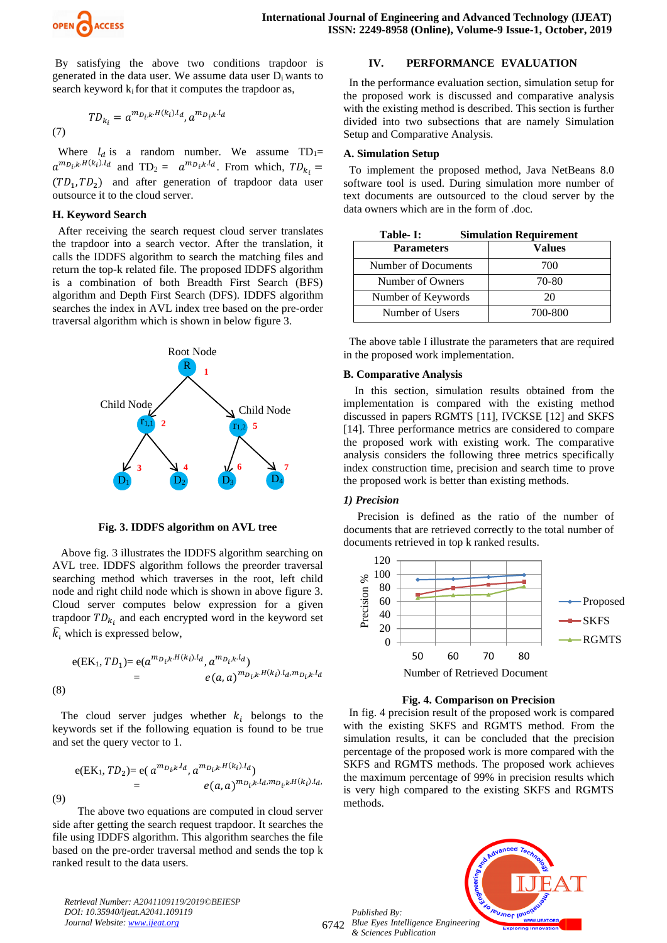

By satisfying the above two conditions trapdoor is generated in the data user. We assume data user  $D_i$  wants to search keyword  $k_i$  for that it computes the trapdoor as,

(7) 
$$
TD_{k_i} = a^{m_{D_i,k}H(k_i).l_d}, a^{m_{D_i,k}.l_d}
$$

Where  $l_d$  is a random number. We assume TD<sub>1</sub>=  $a^{m_{D_i,k},H(k_i),l_d}$  and  $TD_2 = a^{m_{D_i,k},l_d}$ . From which,  $TD_{k_i} =$  $(TD_1, TD_2)$  and after generation of trapdoor data user outsource it to the cloud server.

## **H. Keyword Search**

After receiving the search request cloud server translates the trapdoor into a search vector. After the translation, it calls the IDDFS algorithm to search the matching files and return the top-k related file. The proposed IDDFS algorithm is a combination of both Breadth First Search (BFS) algorithm and Depth First Search (DFS). IDDFS algorithm searches the index in AVL index tree based on the pre-order traversal algorithm which is shown in below figure 3.



**Fig. 3. IDDFS algorithm on AVL tree**

 Above fig. 3 illustrates the IDDFS algorithm searching on AVL tree. IDDFS algorithm follows the preorder traversal searching method which traverses in the root, left child node and right child node which is shown in above figure 3. Cloud server computes below expression for a given trapdoor  $TD_{k_i}$  and each encrypted word in the keyword set  $\hat{k}_i$  which is expressed below,

$$
e(EK_1, TD_1) = e(a^{m_{D_i,k}H(k_i).l_d}, a^{m_{D_i,k}.l_d})
$$
  
=  $e(a, a)^{m_{D_i,k}H(k_i).l_d, m_{D_i,k}.l_d}$   
(8)

The cloud server judges whether  $k_i$  belongs to the keywords set if the following equation is found to be true and set the query vector to 1.

$$
e(EK_1, TD_2) = e(\, a^{m_{D_i,k} \cdot l_d}, a^{m_{D_i,k} \cdot H(k_i) \cdot l_d}) \\
= \, e(a, a)^{m_{D_i,k} \cdot l_d, m_{D_i,k} \cdot H(k_i) \cdot l_d},
$$
\n(9)

 The above two equations are computed in cloud server side after getting the search request trapdoor. It searches the file using IDDFS algorithm. This algorithm searches the file based on the pre-order traversal method and sends the top k ranked result to the data users.

*Retrieval Number: A2041109119/2019©BEIESP DOI: 10.35940/ijeat.A2041.109119 Journal Website[: www.ijeat.org](http://www.ijeat.org/)*

# **IV. PERFORMANCE EVALUATION**

In the performance evaluation section, simulation setup for the proposed work is discussed and comparative analysis with the existing method is described. This section is further divided into two subsections that are namely Simulation Setup and Comparative Analysis.

## **A. Simulation Setup**

To implement the proposed method, Java NetBeans 8.0 software tool is used. During simulation more number of text documents are outsourced to the cloud server by the data owners which are in the form of .doc.

| Table- I:           | <b>Simulation Requirement</b> |  |  |  |  |
|---------------------|-------------------------------|--|--|--|--|
| <b>Parameters</b>   | Values                        |  |  |  |  |
| Number of Documents | 700                           |  |  |  |  |
| Number of Owners    | 70-80                         |  |  |  |  |
| Number of Keywords  | 20                            |  |  |  |  |
| Number of Users     | 700-800                       |  |  |  |  |

 The above table I illustrate the parameters that are required in the proposed work implementation.

## **B. Comparative Analysis**

In this section, simulation results obtained from the implementation is compared with the existing method discussed in papers RGMTS [11], IVCKSE [12] and SKFS [14]. Three performance metrics are considered to compare the proposed work with existing work. The comparative analysis considers the following three metrics specifically index construction time, precision and search time to prove the proposed work is better than existing methods.

#### *1) Precision*

Precision is defined as the ratio of the number of documents that are retrieved correctly to the total number of documents retrieved in top k ranked results.



#### **Fig. 4. Comparison on Precision**

 In fig. 4 precision result of the proposed work is compared with the existing SKFS and RGMTS method. From the simulation results, it can be concluded that the precision percentage of the proposed work is more compared with the SKFS and RGMTS methods. The proposed work achieves the maximum percentage of 99% in precision results which is very high compared to the existing SKFS and RGMTS methods.

6742 *Blue Eyes Intelligence Engineering Published By: & Sciences Publication* 

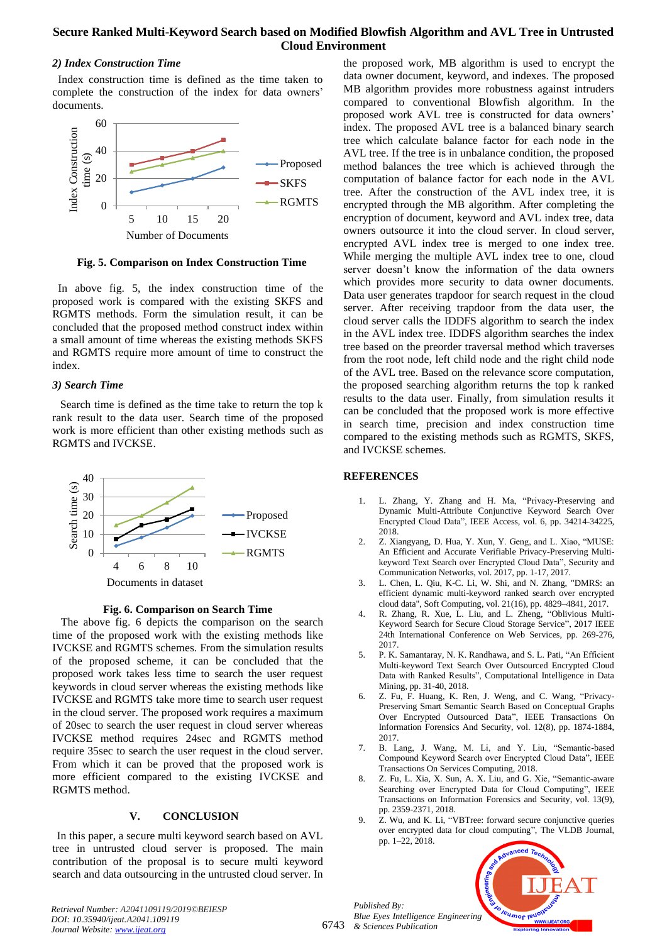## *2) Index Construction Time*

Index construction time is defined as the time taken to complete the construction of the index for data owners' documents.



**Fig. 5. Comparison on Index Construction Time**

 In above fig. 5, the index construction time of the proposed work is compared with the existing SKFS and RGMTS methods. Form the simulation result, it can be concluded that the proposed method construct index within a small amount of time whereas the existing methods SKFS and RGMTS require more amount of time to construct the index.

## *3) Search Time*

Search time is defined as the time take to return the top k rank result to the data user. Search time of the proposed work is more efficient than other existing methods such as RGMTS and IVCKSE.





 The above fig. 6 depicts the comparison on the search time of the proposed work with the existing methods like IVCKSE and RGMTS schemes. From the simulation results of the proposed scheme, it can be concluded that the proposed work takes less time to search the user request keywords in cloud server whereas the existing methods like IVCKSE and RGMTS take more time to search user request in the cloud server. The proposed work requires a maximum of 20sec to search the user request in cloud server whereas IVCKSE method requires 24sec and RGMTS method require 35sec to search the user request in the cloud server. From which it can be proved that the proposed work is more efficient compared to the existing IVCKSE and RGMTS method.

## **V. CONCLUSION**

 In this paper, a secure multi keyword search based on AVL tree in untrusted cloud server is proposed. The main contribution of the proposal is to secure multi keyword search and data outsourcing in the untrusted cloud server. In

the proposed work, MB algorithm is used to encrypt the data owner document, keyword, and indexes. The proposed MB algorithm provides more robustness against intruders compared to conventional Blowfish algorithm. In the proposed work AVL tree is constructed for data owners' index. The proposed AVL tree is a balanced binary search tree which calculate balance factor for each node in the AVL tree. If the tree is in unbalance condition, the proposed method balances the tree which is achieved through the computation of balance factor for each node in the AVL tree. After the construction of the AVL index tree, it is encrypted through the MB algorithm. After completing the encryption of document, keyword and AVL index tree, data owners outsource it into the cloud server. In cloud server, encrypted AVL index tree is merged to one index tree. While merging the multiple AVL index tree to one, cloud server doesn't know the information of the data owners which provides more security to data owner documents. Data user generates trapdoor for search request in the cloud server. After receiving trapdoor from the data user, the cloud server calls the IDDFS algorithm to search the index in the AVL index tree. IDDFS algorithm searches the index tree based on the preorder traversal method which traverses from the root node, left child node and the right child node of the AVL tree. Based on the relevance score computation, the proposed searching algorithm returns the top k ranked results to the data user. Finally, from simulation results it can be concluded that the proposed work is more effective in search time, precision and index construction time compared to the existing methods such as RGMTS, SKFS, and IVCKSE schemes.

# **REFERENCES**

- 1. L. Zhang, Y. Zhang and H. Ma, "Privacy-Preserving and Dynamic Multi-Attribute Conjunctive Keyword Search Over Encrypted Cloud Data", IEEE Access, vol. 6, pp. 34214-34225, 2018.
- 2. Z. Xiangyang, D. Hua, Y. Xun, Y. Geng, and L. Xiao, "MUSE: An Efficient and Accurate Verifiable Privacy-Preserving Multikeyword Text Search over Encrypted Cloud Data", Security and Communication Networks, vol. 2017, pp. 1-17, 2017.
- 3. L. Chen, L. Qiu, K-C. Li, W. Shi, and N. Zhang, "DMRS: an efficient dynamic multi-keyword ranked search over encrypted cloud data"[, Soft Computing,](https://link.springer.com/journal/500) vol. 2[1\(16\)](https://link.springer.com/journal/500/21/16/page/1), pp. 4829–4841, 2017.
- 4. R. Zhang, R. Xue, L. Liu, and L. Zheng, "Oblivious Multi-Keyword Search for Secure Cloud Storage Service", 2017 IEEE 24th International Conference on Web Services, pp. 269-276, 2017.
- 5. P. K. Samantaray, N. K. Randhawa, and S. L. Pati, "An Efficient Multi-keyword Text Search Over Outsourced Encrypted Cloud Data with Ranked Results", [Computational Intelligence in Data](https://link.springer.com/book/10.1007/978-981-10-8055-5)  [Mining,](https://link.springer.com/book/10.1007/978-981-10-8055-5) pp. 31-40, 2018.
- 6. Z. Fu, F. Huang, K. Ren, J. Weng, and C. Wang, "Privacy-Preserving Smart Semantic Search Based on Conceptual Graphs Over Encrypted Outsourced Data", IEEE Transactions On Information Forensics And Security, vol. 12(8), pp. 1874-1884, 2017.
- 7. B. Lang, J. Wang, M. Li, and Y. Liu, "Semantic-based Compound Keyword Search over Encrypted Cloud Data", IEEE Transactions On Services Computing, 2018.
- 8. Z. Fu, L. Xia, X. Sun, A. X. Liu, and G. Xie, "Semantic-aware Searching over Encrypted Data for Cloud Computing", I[EEE](https://ieeexplore.ieee.org/xpl/RecentIssue.jsp?punumber=10206)  [Transactions on Information](https://ieeexplore.ieee.org/xpl/RecentIssue.jsp?punumber=10206) Forensics and Security, vol. 13(9), pp. 2359-2371, 2018.
- 9. Z. Wu, and K. Li, "VBTree: forward secure conjunctive queries over encrypted data for cloud computing", [The VLDB Journal,](https://link.springer.com/journal/778)  pp. 1–22, 2018.

**O leusnor leu** 

6743 *Published By: Blue Eyes Intelligence Engineering & Sciences Publication*